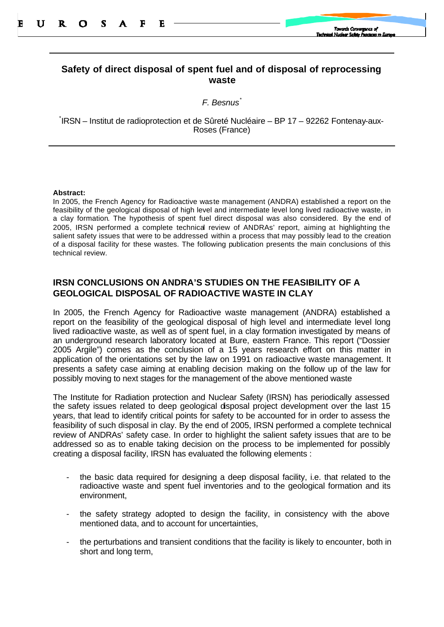## **Safety of direct disposal of spent fuel and of disposal of reprocessing waste**

*F. Besnus\**

\* IRSN – Institut de radioprotection et de Sûreté Nucléaire – BP 17 – 92262 Fontenay-aux-Roses (France)

## **Abstract:**

In 2005, the French Agency for Radioactive waste management (ANDRA) established a report on the feasibility of the geological disposal of high level and intermediate level long lived radioactive waste, in a clay formation. The hypothesis of spent fuel direct disposal was also considered. By the end of 2005, IRSN performed a complete technical review of ANDRAs' report, aiming at highlighting the salient safety issues that were to be addressed within a process that may possibly lead to the creation of a disposal facility for these wastes. The following publication presents the main conclusions of this technical review.

## **IRSN CONCLUSIONS ON ANDRA'S STUDIES ON THE FEASIBILITY OF A GEOLOGICAL DISPOSAL OF RADIOACTIVE WASTE IN CLAY**

In 2005, the French Agency for Radioactive waste management (ANDRA) established a report on the feasibility of the geological disposal of high level and intermediate level long lived radioactive waste, as well as of spent fuel, in a clay formation investigated by means of an underground research laboratory located at Bure, eastern France. This report ("Dossier 2005 Argile") comes as the conclusion of a 15 years research effort on this matter in application of the orientations set by the law on 1991 on radioactive waste management. It presents a safety case aiming at enabling decision making on the follow up of the law for possibly moving to next stages for the management of the above mentioned waste

The Institute for Radiation protection and Nuclear Safety (IRSN) has periodically assessed the safety issues related to deep geological disposal project development over the last 15 years, that lead to identify critical points for safety to be accounted for in order to assess the feasibility of such disposal in clay. By the end of 2005, IRSN performed a complete technical review of ANDRAs' safety case. In order to highlight the salient safety issues that are to be addressed so as to enable taking decision on the process to be implemented for possibly creating a disposal facility, IRSN has evaluated the following elements :

- the basic data required for designing a deep disposal facility, i.e. that related to the radioactive waste and spent fuel inventories and to the geological formation and its environment,
- the safety strategy adopted to design the facility, in consistency with the above mentioned data, and to account for uncertainties,
- the perturbations and transient conditions that the facility is likely to encounter, both in short and long term,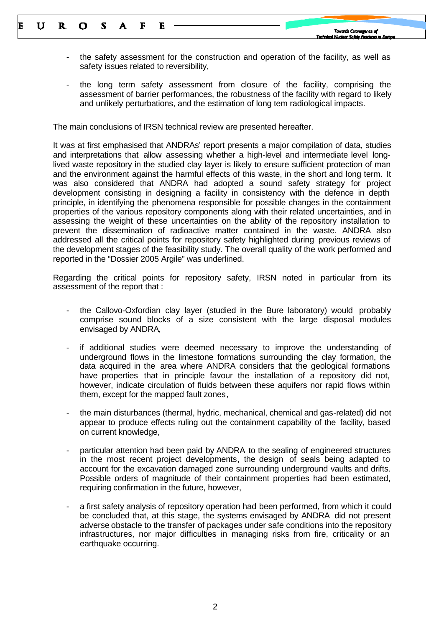- the safety assessment for the construction and operation of the facility, as well as safety issues related to reversibility,
- the long term safety assessment from closure of the facility, comprising the assessment of barrier performances, the robustness of the facility with regard to likely and unlikely perturbations, and the estimation of long tem radiological impacts.

The main conclusions of IRSN technical review are presented hereafter.

It was at first emphasised that ANDRAs' report presents a major compilation of data, studies and interpretations that allow assessing whether a high-level and intermediate level longlived waste repository in the studied clay layer is likely to ensure sufficient protection of man and the environment against the harmful effects of this waste, in the short and long term. It was also considered that ANDRA had adopted a sound safety strategy for project development consisting in designing a facility in consistency with the defence in depth principle, in identifying the phenomena responsible for possible changes in the containment properties of the various repository components along with their related uncertainties, and in assessing the weight of these uncertainties on the ability of the repository installation to prevent the dissemination of radioactive matter contained in the waste. ANDRA also addressed all the critical points for repository safety highlighted during previous reviews of the development stages of the feasibility study. The overall quality of the work performed and reported in the "Dossier 2005 Argile" was underlined.

Regarding the critical points for repository safety, IRSN noted in particular from its assessment of the report that :

- the Callovo-Oxfordian clay layer (studied in the Bure laboratory) would probably comprise sound blocks of a size consistent with the large disposal modules envisaged by ANDRA,
- if additional studies were deemed necessary to improve the understanding of underground flows in the limestone formations surrounding the clay formation, the data acquired in the area where ANDRA considers that the geological formations have properties that in principle favour the installation of a repository did not, however, indicate circulation of fluids between these aquifers nor rapid flows within them, except for the mapped fault zones,
- the main disturbances (thermal, hydric, mechanical, chemical and gas-related) did not appear to produce effects ruling out the containment capability of the facility, based on current knowledge,
- particular attention had been paid by ANDRA to the sealing of engineered structures in the most recent project developments, the design of seals being adapted to account for the excavation damaged zone surrounding underground vaults and drifts. Possible orders of magnitude of their containment properties had been estimated, requiring confirmation in the future, however,
- a first safety analysis of repository operation had been performed, from which it could be concluded that, at this stage, the systems envisaged by ANDRA did not present adverse obstacle to the transfer of packages under safe conditions into the repository infrastructures, nor major difficulties in managing risks from fire, criticality or an earthquake occurring.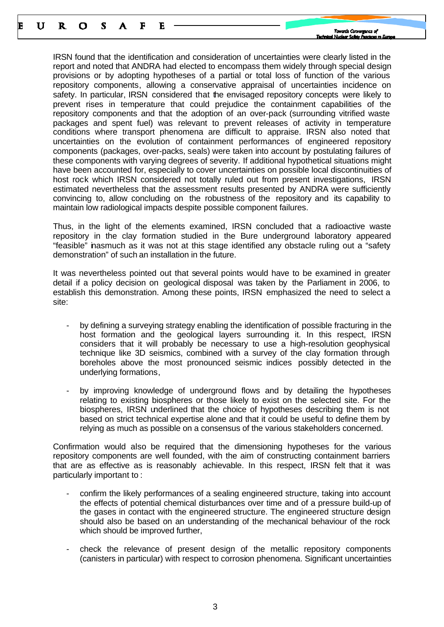IRSN found that the identification and consideration of uncertainties were clearly listed in the report and noted that ANDRA had elected to encompass them widely through special design provisions or by adopting hypotheses of a partial or total loss of function of the various repository components, allowing a conservative appraisal of uncertainties incidence on safety. In particular, IRSN considered that the envisaged repository concepts were likely to prevent rises in temperature that could prejudice the containment capabilities of the repository components and that the adoption of an over-pack (surrounding vitrified waste packages and spent fuel) was relevant to prevent releases of activity in temperature conditions where transport phenomena are difficult to appraise. IRSN also noted that uncertainties on the evolution of containment performances of engineered repository components (packages, over-packs, seals) were taken into account by postulating failures of these components with varying degrees of severity. If additional hypothetical situations might have been accounted for, especially to cover uncertainties on possible local discontinuities of host rock which IRSN considered not totally ruled out from present investigations, IRSN estimated nevertheless that the assessment results presented by ANDRA were sufficiently convincing to, allow concluding on the robustness of the repository and its capability to maintain low radiological impacts despite possible component failures.

Thus, in the light of the elements examined, IRSN concluded that a radioactive waste repository in the clay formation studied in the Bure underground laboratory appeared "feasible" inasmuch as it was not at this stage identified any obstacle ruling out a "safety demonstration" of such an installation in the future.

It was nevertheless pointed out that several points would have to be examined in greater detail if a policy decision on geological disposal was taken by the Parliament in 2006, to establish this demonstration. Among these points, IRSN emphasized the need to select a site:

- by defining a surveying strategy enabling the identification of possible fracturing in the host formation and the geological layers surrounding it. In this respect, IRSN considers that it will probably be necessary to use a high-resolution geophysical technique like 3D seismics, combined with a survey of the clay formation through boreholes above the most pronounced seismic indices possibly detected in the underlying formations,
- by improving knowledge of underground flows and by detailing the hypotheses relating to existing biospheres or those likely to exist on the selected site. For the biospheres, IRSN underlined that the choice of hypotheses describing them is not based on strict technical expertise alone and that it could be useful to define them by relying as much as possible on a consensus of the various stakeholders concerned.

Confirmation would also be required that the dimensioning hypotheses for the various repository components are well founded, with the aim of constructing containment barriers that are as effective as is reasonably achievable. In this respect, IRSN felt that it was particularly important to :

- confirm the likely performances of a sealing engineered structure, taking into account the effects of potential chemical disturbances over time and of a pressure build-up of the gases in contact with the engineered structure. The engineered structure design should also be based on an understanding of the mechanical behaviour of the rock which should be improved further,
- check the relevance of present design of the metallic repository components (canisters in particular) with respect to corrosion phenomena. Significant uncertainties